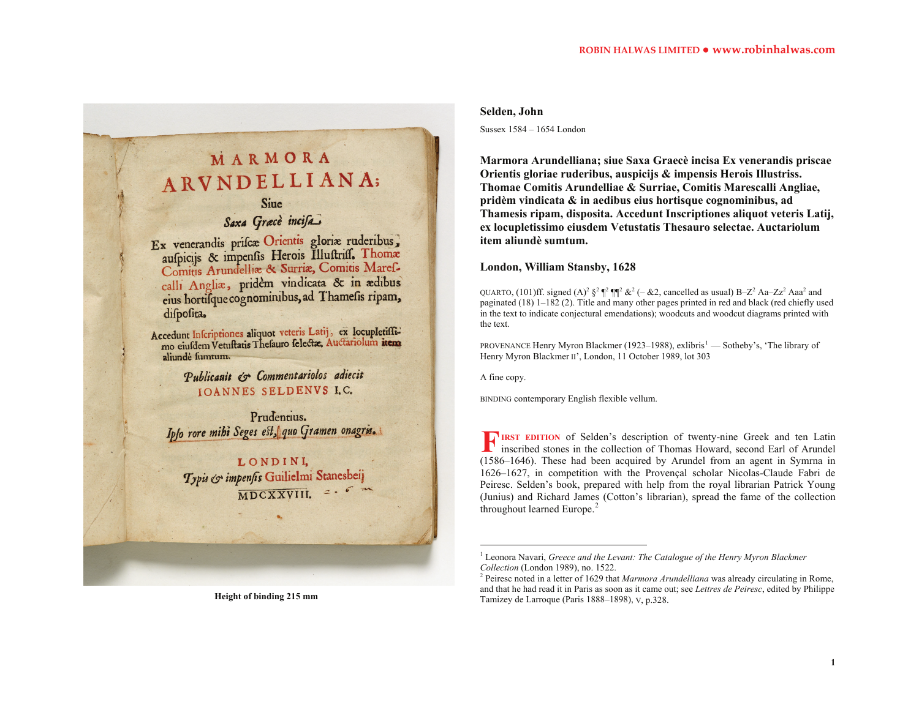# MARMORA ARVNDELLIANA;

### Sine

## Saxa Græcè incisa.

Ex venerandis prisca Orientis gloria ruderibus, aufpicijs & impenfis Herois Illuftriff. Thomas Comitis Arundellia & Surria, Comitis Marefcalli Anglia, pridėm vindicata & in adibus eius hortifque cognominibus, ad Thamefis ripam, difpofita.

Accedunt Inscriptiones aliquot veteris Latij, ex locupletiffi-<br>mo eiusdem Vetuftatis Thefauro felectae, Auctariolum item aliundė fumtum.

> Publicanit & Commentariolos adiecit **IOANNES SELDENVS I.C.**

Prudentius. Ipfo rore mihi Seges est, quo Gramen onagris.

LONDINI, Typis & impenfis Guilielmi Stanesbeij  $MDCXXVIII.$ 

#### **Selden, John**

Sussex 1584 – 1654 London

**Marmora Arundelliana; siue Saxa Graecè incisa Ex venerandis priscae Orientis gloriae ruderibus, auspicijs & impensis Herois Illustriss. Thomae Comitis Arundelliae & Surriae, Comitis Marescalli Angliae, pridèm vindicata & in aedibus eius hortisque cognominibus, ad Thamesis ripam, disposita. Accedunt Inscriptiones aliquot veteris Latij, ex locupletissimo eiusdem Vetustatis Thesauro selectae. Auctariolum item aliundè sumtum.** 

#### **London, William Stansby, 1628**

QUARTO, (101)ff. signed  $(A)^2 \xi^2 \xi^2$   $\P^2 \xi^2 (-\& 2)$ , cancelled as usual) B–Z<sup>2</sup> Aa–Zz<sup>2</sup> Aaa<sup>2</sup> and paginated (18) 1–182 (2). Title and many other pages printed in red and black (red chiefly used in the text to indicate conjectural emendations); woodcuts and woodcut diagrams printed with the text.

PROVENANCE Henry Myron Blackmer ([1](#page-0-0)923–1988), exlibris<sup>1</sup> — Sotheby's, 'The library of Henry Myron Blackmer II', London, 11 October 1989, lot 303

A fine copy.

BINDING contemporary English flexible vellum.

**IRST EDITION** of Selden's description of twenty-nine Greek and ten Latin inscribed stones in the collection of Thomas Howard, second Earl of Arundel (1586–1646). These had been acquired by Arundel from an agent in Symrna in 1626–1627, in competition with the Provençal scholar Nicolas-Claude Fabri de Peiresc. Selden's book, prepared with help from the royal librarian Patrick Young (Junius) and Richard James (Cotton's librarian), spread the fame of the collection throughout learned Europe. $<sup>2</sup>$  $<sup>2</sup>$  $<sup>2</sup>$ </sup> **F**

**Height of binding 215 mm** 

<span id="page-0-1"></span><span id="page-0-0"></span><sup>&</sup>lt;sup>1</sup> Leonora Navari, *Greece and the Levant: The Catalogue of the Henry Myron Blackmer Collection* (London 1989), no. 1522.

<sup>2</sup> Peiresc noted in a letter of 1629 that *Marmora Arundelliana* was already circulating in Rome, and that he had read it in Paris as soon as it came out; see *Lettres de Peiresc*, edited by Philippe Tamizey de Larroque (Paris 1888–1898), V, p.328.